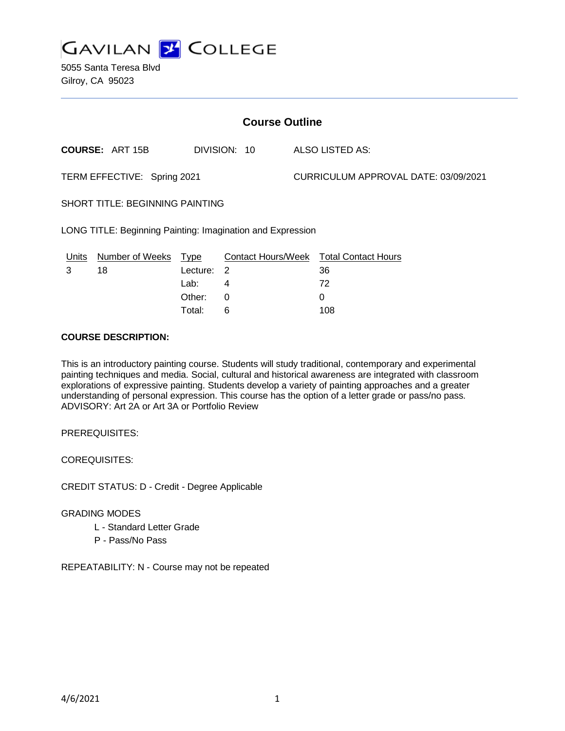

5055 Santa Teresa Blvd Gilroy, CA 95023

| <b>Course Outline</b>                                      |                        |             |                           |  |                                      |  |
|------------------------------------------------------------|------------------------|-------------|---------------------------|--|--------------------------------------|--|
|                                                            | <b>COURSE: ART 15B</b> |             | DIVISION: 10              |  | ALSO LISTED AS:                      |  |
| TERM EFFECTIVE: Spring 2021                                |                        |             |                           |  | CURRICULUM APPROVAL DATE: 03/09/2021 |  |
| <b>SHORT TITLE: BEGINNING PAINTING</b>                     |                        |             |                           |  |                                      |  |
| LONG TITLE: Beginning Painting: Imagination and Expression |                        |             |                           |  |                                      |  |
| Units                                                      | Number of Weeks        | <u>Type</u> | <b>Contact Hours/Week</b> |  | <b>Total Contact Hours</b>           |  |
| 3                                                          | 18                     | Lecture: 2  |                           |  | 36                                   |  |
|                                                            |                        | Lab:        | 4                         |  | 72                                   |  |
|                                                            |                        | Other:      | 0                         |  | 0                                    |  |

#### **COURSE DESCRIPTION:**

This is an introductory painting course. Students will study traditional, contemporary and experimental painting techniques and media. Social, cultural and historical awareness are integrated with classroom explorations of expressive painting. Students develop a variety of painting approaches and a greater understanding of personal expression. This course has the option of a letter grade or pass/no pass. ADVISORY: Art 2A or Art 3A or Portfolio Review

Total: 6 108

PREREQUISITES:

COREQUISITES:

CREDIT STATUS: D - Credit - Degree Applicable

#### GRADING MODES

- L Standard Letter Grade
- P Pass/No Pass

REPEATABILITY: N - Course may not be repeated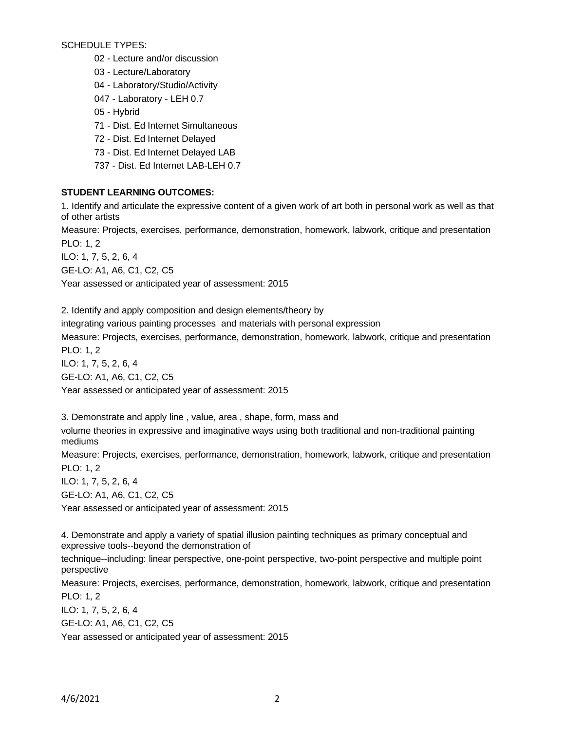SCHEDULE TYPES:

02 - Lecture and/or discussion

03 - Lecture/Laboratory

04 - Laboratory/Studio/Activity

047 - Laboratory - LEH 0.7

- 05 Hybrid
- 71 Dist. Ed Internet Simultaneous
- 72 Dist. Ed Internet Delayed
- 73 Dist. Ed Internet Delayed LAB
- 737 Dist. Ed Internet LAB-LEH 0.7

### **STUDENT LEARNING OUTCOMES:**

1. Identify and articulate the expressive content of a given work of art both in personal work as well as that of other artists

Measure: Projects, exercises, performance, demonstration, homework, labwork, critique and presentation PLO: 1, 2

ILO: 1, 7, 5, 2, 6, 4

GE-LO: A1, A6, C1, C2, C5

Year assessed or anticipated year of assessment: 2015

2. Identify and apply composition and design elements/theory by integrating various painting processes and materials with personal expression Measure: Projects, exercises, performance, demonstration, homework, labwork, critique and presentation PLO: 1, 2 ILO: 1, 7, 5, 2, 6, 4

GE-LO: A1, A6, C1, C2, C5 Year assessed or anticipated year of assessment: 2015

3. Demonstrate and apply line , value, area , shape, form, mass and volume theories in expressive and imaginative ways using both traditional and non-traditional painting mediums

Measure: Projects, exercises, performance, demonstration, homework, labwork, critique and presentation PLO: 1, 2

ILO: 1, 7, 5, 2, 6, 4

GE-LO: A1, A6, C1, C2, C5

Year assessed or anticipated year of assessment: 2015

4. Demonstrate and apply a variety of spatial illusion painting techniques as primary conceptual and expressive tools--beyond the demonstration of

technique--including: linear perspective, one-point perspective, two-point perspective and multiple point perspective

Measure: Projects, exercises, performance, demonstration, homework, labwork, critique and presentation PLO: 1, 2

ILO: 1, 7, 5, 2, 6, 4 GE-LO: A1, A6, C1, C2, C5

Year assessed or anticipated year of assessment: 2015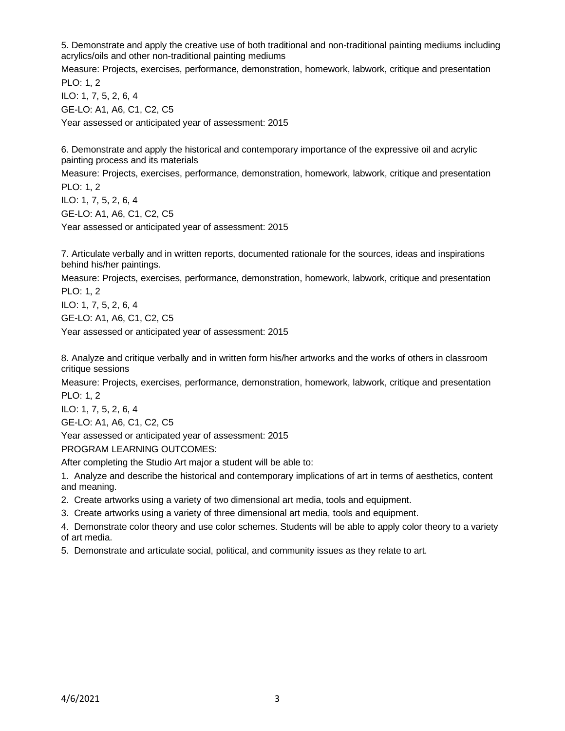5. Demonstrate and apply the creative use of both traditional and non-traditional painting mediums including acrylics/oils and other non-traditional painting mediums

Measure: Projects, exercises, performance, demonstration, homework, labwork, critique and presentation PLO: 1, 2

ILO: 1, 7, 5, 2, 6, 4 GE-LO: A1, A6, C1, C2, C5 Year assessed or anticipated year of assessment: 2015

6. Demonstrate and apply the historical and contemporary importance of the expressive oil and acrylic painting process and its materials

Measure: Projects, exercises, performance, demonstration, homework, labwork, critique and presentation PLO: 1, 2

ILO: 1, 7, 5, 2, 6, 4 GE-LO: A1, A6, C1, C2, C5

Year assessed or anticipated year of assessment: 2015

7. Articulate verbally and in written reports, documented rationale for the sources, ideas and inspirations behind his/her paintings.

Measure: Projects, exercises, performance, demonstration, homework, labwork, critique and presentation PLO: 1, 2

ILO: 1, 7, 5, 2, 6, 4 GE-LO: A1, A6, C1, C2, C5

Year assessed or anticipated year of assessment: 2015

8. Analyze and critique verbally and in written form his/her artworks and the works of others in classroom critique sessions

Measure: Projects, exercises, performance, demonstration, homework, labwork, critique and presentation PLO: 1, 2

ILO: 1, 7, 5, 2, 6, 4

GE-LO: A1, A6, C1, C2, C5

Year assessed or anticipated year of assessment: 2015

PROGRAM LEARNING OUTCOMES:

After completing the Studio Art major a student will be able to:

1. Analyze and describe the historical and contemporary implications of art in terms of aesthetics, content and meaning.

2. Create artworks using a variety of two dimensional art media, tools and equipment.

3. Create artworks using a variety of three dimensional art media, tools and equipment.

4. Demonstrate color theory and use color schemes. Students will be able to apply color theory to a variety of art media.

5. Demonstrate and articulate social, political, and community issues as they relate to art.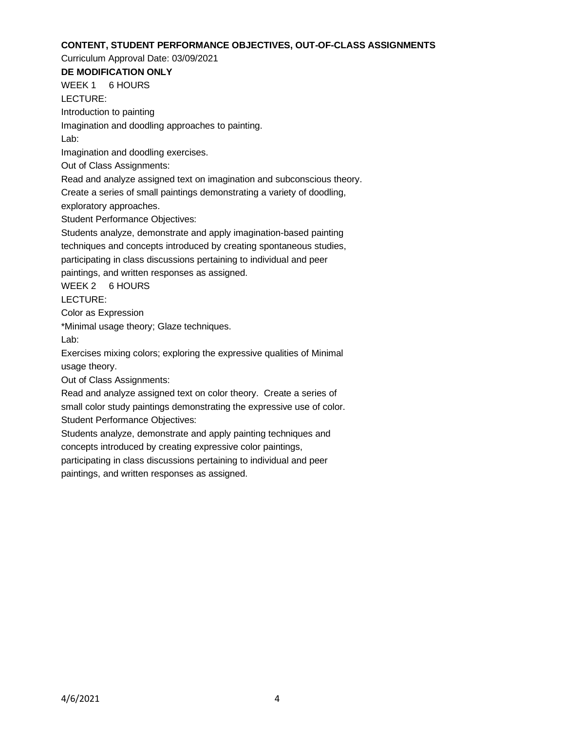#### **CONTENT, STUDENT PERFORMANCE OBJECTIVES, OUT-OF-CLASS ASSIGNMENTS**

Curriculum Approval Date: 03/09/2021

# **DE MODIFICATION ONLY**

WEEK 1 6 HOURS LECTURE:

Introduction to painting

Imagination and doodling approaches to painting.

Lab:

Imagination and doodling exercises.

Out of Class Assignments:

Read and analyze assigned text on imagination and subconscious theory.

Create a series of small paintings demonstrating a variety of doodling,

exploratory approaches.

Student Performance Objectives:

Students analyze, demonstrate and apply imagination-based painting techniques and concepts introduced by creating spontaneous studies,

participating in class discussions pertaining to individual and peer

paintings, and written responses as assigned.

WEEK 2 6 HOURS

LECTURE:

Color as Expression

\*Minimal usage theory; Glaze techniques.

Lab:

Exercises mixing colors; exploring the expressive qualities of Minimal usage theory.

Out of Class Assignments:

Read and analyze assigned text on color theory. Create a series of small color study paintings demonstrating the expressive use of color.

Student Performance Objectives:

Students analyze, demonstrate and apply painting techniques and concepts introduced by creating expressive color paintings,

participating in class discussions pertaining to individual and peer

paintings, and written responses as assigned.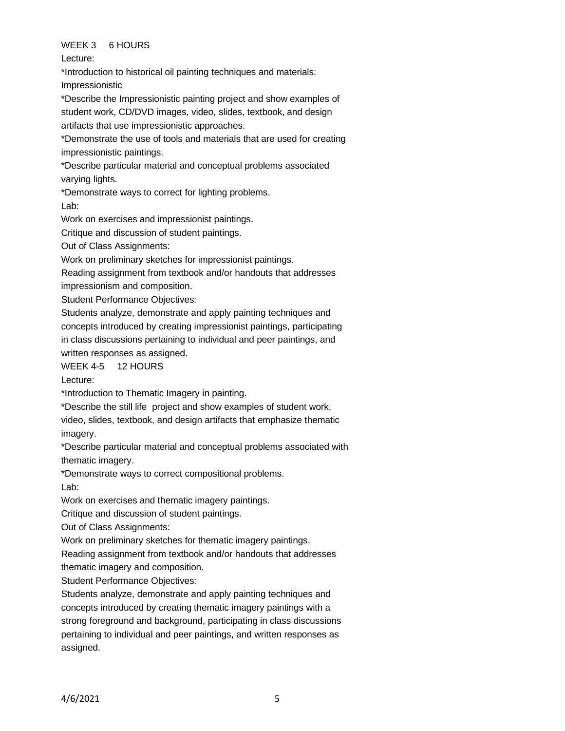## WEEK 3 6 HOURS

Lecture:

\*Introduction to historical oil painting techniques and materials: Impressionistic

\*Describe the Impressionistic painting project and show examples of student work, CD/DVD images, video, slides, textbook, and design artifacts that use impressionistic approaches.

\*Demonstrate the use of tools and materials that are used for creating impressionistic paintings.

\*Describe particular material and conceptual problems associated varying lights.

\*Demonstrate ways to correct for lighting problems.

Lab:

Work on exercises and impressionist paintings.

Critique and discussion of student paintings.

Out of Class Assignments:

Work on preliminary sketches for impressionist paintings.

Reading assignment from textbook and/or handouts that addresses impressionism and composition.

Student Performance Objectives:

Students analyze, demonstrate and apply painting techniques and concepts introduced by creating impressionist paintings, participating in class discussions pertaining to individual and peer paintings, and written responses as assigned.

# WEEK 4-5 12 HOURS

Lecture:

\*Introduction to Thematic Imagery in painting.

\*Describe the still life project and show examples of student work,

video, slides, textbook, and design artifacts that emphasize thematic imagery.

\*Describe particular material and conceptual problems associated with thematic imagery.

\*Demonstrate ways to correct compositional problems. Lab:

Work on exercises and thematic imagery paintings.

Critique and discussion of student paintings.

Out of Class Assignments:

Work on preliminary sketches for thematic imagery paintings.

Reading assignment from textbook and/or handouts that addresses thematic imagery and composition.

Student Performance Objectives:

Students analyze, demonstrate and apply painting techniques and concepts introduced by creating thematic imagery paintings with a strong foreground and background, participating in class discussions pertaining to individual and peer paintings, and written responses as assigned.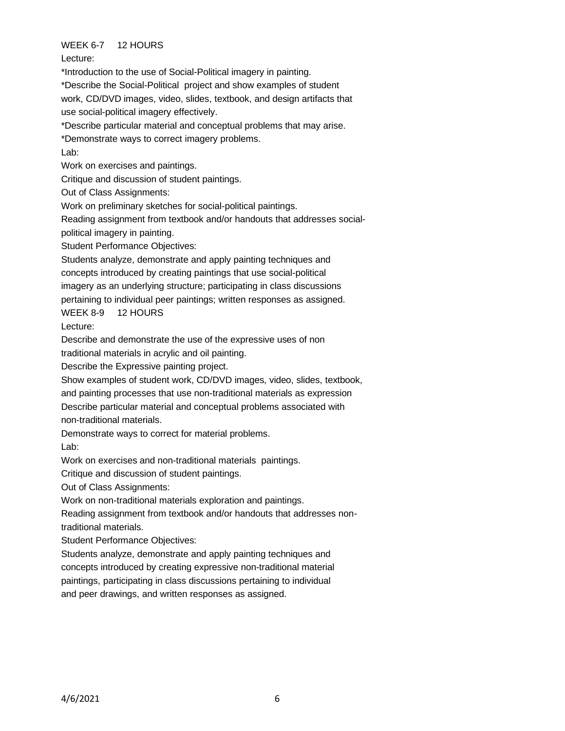## WEEK 6-7 12 HOURS

Lecture:

\*Introduction to the use of Social-Political imagery in painting.

\*Describe the Social-Political project and show examples of student

work, CD/DVD images, video, slides, textbook, and design artifacts that use social-political imagery effectively.

\*Describe particular material and conceptual problems that may arise.

\*Demonstrate ways to correct imagery problems.

Lab:

Work on exercises and paintings.

Critique and discussion of student paintings.

Out of Class Assignments:

Work on preliminary sketches for social-political paintings.

Reading assignment from textbook and/or handouts that addresses socialpolitical imagery in painting.

Student Performance Objectives:

Students analyze, demonstrate and apply painting techniques and concepts introduced by creating paintings that use social-political imagery as an underlying structure; participating in class discussions pertaining to individual peer paintings; written responses as assigned.

WEEK 8-9 12 HOURS

Lecture:

Describe and demonstrate the use of the expressive uses of non

traditional materials in acrylic and oil painting.

Describe the Expressive painting project.

Show examples of student work, CD/DVD images, video, slides, textbook, and painting processes that use non-traditional materials as expression Describe particular material and conceptual problems associated with

non-traditional materials.

Demonstrate ways to correct for material problems.

Lab:

Work on exercises and non-traditional materials paintings.

Critique and discussion of student paintings.

Out of Class Assignments:

Work on non-traditional materials exploration and paintings.

Reading assignment from textbook and/or handouts that addresses nontraditional materials.

Student Performance Objectives:

Students analyze, demonstrate and apply painting techniques and concepts introduced by creating expressive non-traditional material paintings, participating in class discussions pertaining to individual and peer drawings, and written responses as assigned.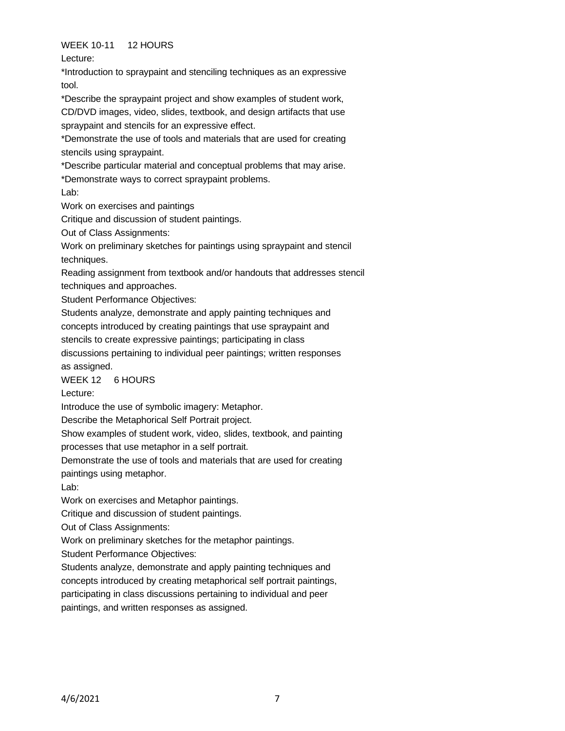## WEEK 10-11 12 HOURS

Lecture:

\*Introduction to spraypaint and stenciling techniques as an expressive tool.

\*Describe the spraypaint project and show examples of student work, CD/DVD images, video, slides, textbook, and design artifacts that use spraypaint and stencils for an expressive effect.

\*Demonstrate the use of tools and materials that are used for creating stencils using spraypaint.

\*Describe particular material and conceptual problems that may arise.

\*Demonstrate ways to correct spraypaint problems.

Lab:

Work on exercises and paintings

Critique and discussion of student paintings.

Out of Class Assignments:

Work on preliminary sketches for paintings using spraypaint and stencil techniques.

Reading assignment from textbook and/or handouts that addresses stencil techniques and approaches.

Student Performance Objectives:

Students analyze, demonstrate and apply painting techniques and

concepts introduced by creating paintings that use spraypaint and

stencils to create expressive paintings; participating in class

discussions pertaining to individual peer paintings; written responses as assigned.

WEEK 12 6 HOURS

Lecture:

Introduce the use of symbolic imagery: Metaphor.

Describe the Metaphorical Self Portrait project.

Show examples of student work, video, slides, textbook, and painting

processes that use metaphor in a self portrait.

Demonstrate the use of tools and materials that are used for creating

paintings using metaphor.

Lab:

Work on exercises and Metaphor paintings.

Critique and discussion of student paintings.

Out of Class Assignments:

Work on preliminary sketches for the metaphor paintings.

Student Performance Objectives:

Students analyze, demonstrate and apply painting techniques and

concepts introduced by creating metaphorical self portrait paintings,

participating in class discussions pertaining to individual and peer

paintings, and written responses as assigned.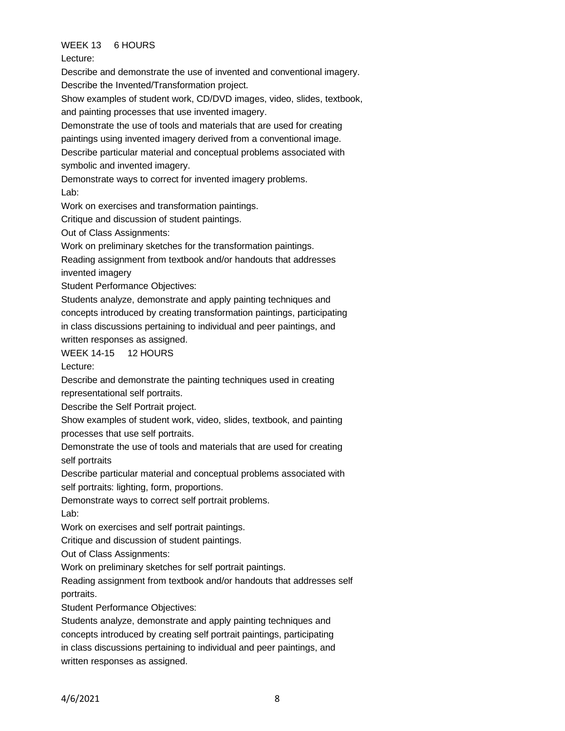## WEEK 13 6 HOURS

Lecture:

Describe and demonstrate the use of invented and conventional imagery. Describe the Invented/Transformation project.

Show examples of student work, CD/DVD images, video, slides, textbook, and painting processes that use invented imagery.

Demonstrate the use of tools and materials that are used for creating

paintings using invented imagery derived from a conventional image.

Describe particular material and conceptual problems associated with symbolic and invented imagery.

Demonstrate ways to correct for invented imagery problems.

Lab:

Work on exercises and transformation paintings.

Critique and discussion of student paintings.

Out of Class Assignments:

Work on preliminary sketches for the transformation paintings.

Reading assignment from textbook and/or handouts that addresses invented imagery

Student Performance Objectives:

Students analyze, demonstrate and apply painting techniques and concepts introduced by creating transformation paintings, participating in class discussions pertaining to individual and peer paintings, and written responses as assigned.

WEEK 14-15 12 HOURS

Lecture:

Describe and demonstrate the painting techniques used in creating representational self portraits.

Describe the Self Portrait project.

Show examples of student work, video, slides, textbook, and painting processes that use self portraits.

Demonstrate the use of tools and materials that are used for creating self portraits

Describe particular material and conceptual problems associated with self portraits: lighting, form, proportions.

Demonstrate ways to correct self portrait problems. Lab:

Work on exercises and self portrait paintings.

Critique and discussion of student paintings.

Out of Class Assignments:

Work on preliminary sketches for self portrait paintings.

Reading assignment from textbook and/or handouts that addresses self portraits.

Student Performance Objectives:

Students analyze, demonstrate and apply painting techniques and concepts introduced by creating self portrait paintings, participating in class discussions pertaining to individual and peer paintings, and written responses as assigned.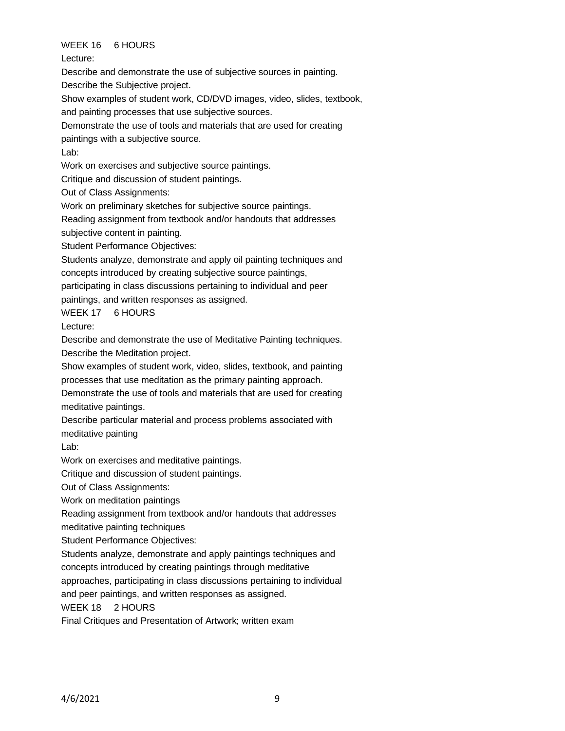## WEEK 16 6 HOURS

Lecture:

Describe and demonstrate the use of subjective sources in painting.

Describe the Subjective project.

Show examples of student work, CD/DVD images, video, slides, textbook,

and painting processes that use subjective sources.

Demonstrate the use of tools and materials that are used for creating

paintings with a subjective source.

Lab:

Work on exercises and subjective source paintings.

Critique and discussion of student paintings.

Out of Class Assignments:

Work on preliminary sketches for subjective source paintings.

Reading assignment from textbook and/or handouts that addresses

subjective content in painting.

Student Performance Objectives:

Students analyze, demonstrate and apply oil painting techniques and concepts introduced by creating subjective source paintings,

participating in class discussions pertaining to individual and peer

paintings, and written responses as assigned.

WEEK 17 6 HOURS

Lecture:

Describe and demonstrate the use of Meditative Painting techniques. Describe the Meditation project.

Show examples of student work, video, slides, textbook, and painting processes that use meditation as the primary painting approach.

Demonstrate the use of tools and materials that are used for creating meditative paintings.

Describe particular material and process problems associated with meditative painting

Lab:

Work on exercises and meditative paintings.

Critique and discussion of student paintings.

Out of Class Assignments:

Work on meditation paintings

Reading assignment from textbook and/or handouts that addresses

meditative painting techniques

Student Performance Objectives:

Students analyze, demonstrate and apply paintings techniques and

concepts introduced by creating paintings through meditative

approaches, participating in class discussions pertaining to individual

and peer paintings, and written responses as assigned.

WEEK 18 2 HOURS

Final Critiques and Presentation of Artwork; written exam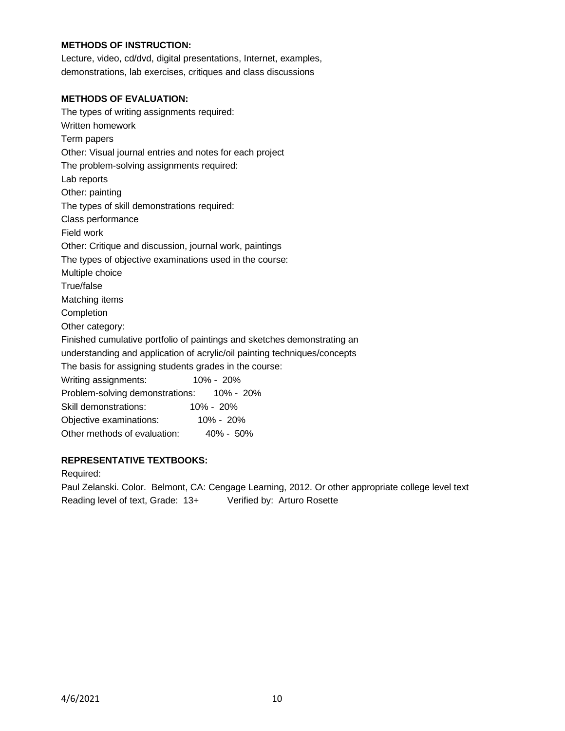#### **METHODS OF INSTRUCTION:**

Lecture, video, cd/dvd, digital presentations, Internet, examples, demonstrations, lab exercises, critiques and class discussions

#### **METHODS OF EVALUATION:**

The types of writing assignments required: Written homework Term papers Other: Visual journal entries and notes for each project The problem-solving assignments required: Lab reports Other: painting The types of skill demonstrations required: Class performance Field work Other: Critique and discussion, journal work, paintings The types of objective examinations used in the course: Multiple choice True/false Matching items **Completion** Other category: Finished cumulative portfolio of paintings and sketches demonstrating an understanding and application of acrylic/oil painting techniques/concepts The basis for assigning students grades in the course: Writing assignments: 10% - 20% Problem-solving demonstrations: 10% - 20% Skill demonstrations: 10% - 20% Objective examinations: 10% - 20% Other methods of evaluation: 40% - 50%

## **REPRESENTATIVE TEXTBOOKS:**

Required:

Paul Zelanski. Color. Belmont, CA: Cengage Learning, 2012. Or other appropriate college level text Reading level of text, Grade: 13+ Verified by: Arturo Rosette